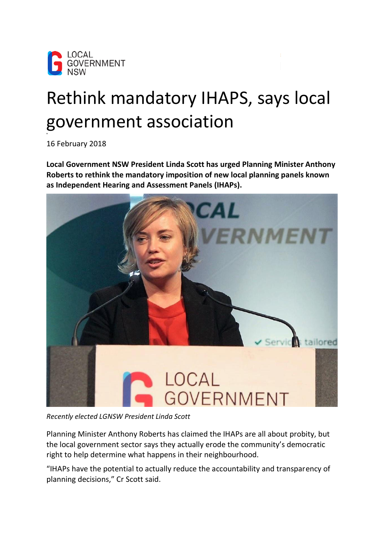

## Rethink mandatory IHAPS, says local government association

16 February 2018

**Local Government NSW President Linda Scott has urged Planning Minister Anthony Roberts to rethink the mandatory imposition of new local planning panels known as Independent Hearing and Assessment Panels (IHAPs).**



*Recently elected LGNSW President Linda Scott*

Planning Minister Anthony Roberts has claimed the IHAPs are all about probity, but the local government sector says they actually erode the community's democratic right to help determine what happens in their neighbourhood.

"IHAPs have the potential to actually reduce the accountability and transparency of planning decisions," Cr Scott said.